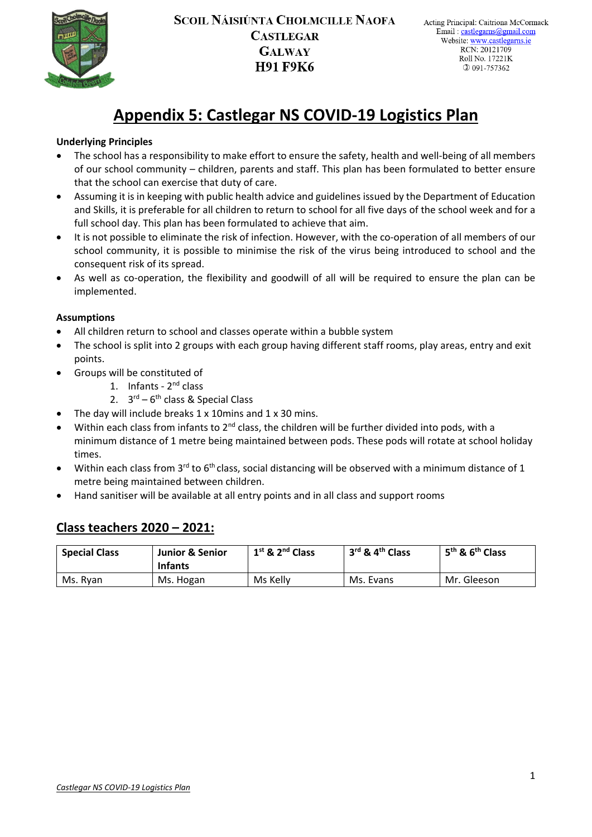

# **Appendix 5: Castlegar NS COVID-19 Logistics Plan**

#### **Underlying Principles**

- The school has a responsibility to make effort to ensure the safety, health and well-being of all members of our school community – children, parents and staff. This plan has been formulated to better ensure that the school can exercise that duty of care.
- Assuming it is in keeping with public health advice and guidelines issued by the Department of Education and Skills, it is preferable for all children to return to school for all five days of the school week and for a full school day. This plan has been formulated to achieve that aim.
- It is not possible to eliminate the risk of infection. However, with the co-operation of all members of our school community, it is possible to minimise the risk of the virus being introduced to school and the consequent risk of its spread.
- As well as co-operation, the flexibility and goodwill of all will be required to ensure the plan can be implemented.

#### **Assumptions**

- All children return to school and classes operate within a bubble system
- The school is split into 2 groups with each group having different staff rooms, play areas, entry and exit points.
- Groups will be constituted of
	- 1. Infants 2<sup>nd</sup> class
	- 2.  $3<sup>rd</sup> 6<sup>th</sup>$  class & Special Class
	- The day will include breaks  $1 \times 10$  mins and  $1 \times 30$  mins.
- Within each class from infants to 2<sup>nd</sup> class, the children will be further divided into pods, with a minimum distance of 1 metre being maintained between pods. These pods will rotate at school holiday times.
- Within each class from 3<sup>rd</sup> to 6<sup>th</sup> class, social distancing will be observed with a minimum distance of 1 metre being maintained between children.
- Hand sanitiser will be available at all entry points and in all class and support rooms

### **Class teachers 2020 – 2021:**

| <b>Special Class</b> | <b>Junior &amp; Senior</b><br><b>Infants</b> | $1st$ & $2nd$ Class | $3^{\text{rd}}$ & $4^{\text{th}}$ Class | 5 <sup>th</sup> & 6 <sup>th</sup> Class |
|----------------------|----------------------------------------------|---------------------|-----------------------------------------|-----------------------------------------|
| Ms. Rvan             | Ms. Hogan                                    | Ms Kelly            | Ms. Evans                               | Mr. Gleeson                             |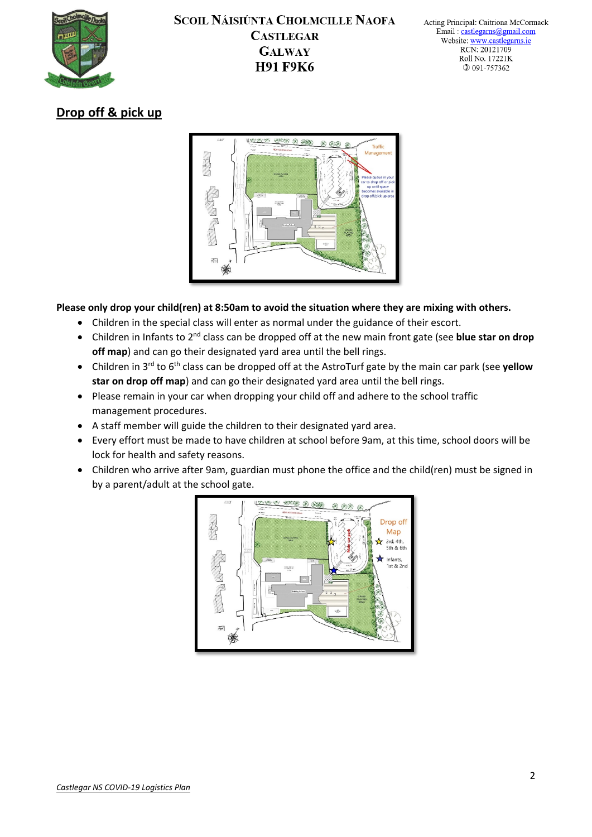

# **Drop off & pick up**



**Please only drop your child(ren) at 8:50am to avoid the situation where they are mixing with others.**

- Children in the special class will enter as normal under the guidance of their escort.
- Children in Infants to 2nd class can be dropped off at the new main front gate (see **blue star on drop off map**) and can go their designated yard area until the bell rings.
- Children in 3rd to 6th class can be dropped off at the AstroTurf gate by the main car park (see **yellow star on drop off map**) and can go their designated yard area until the bell rings.
- Please remain in your car when dropping your child off and adhere to the school traffic management procedures.
- A staff member will guide the children to their designated yard area.
- Every effort must be made to have children at school before 9am, at this time, school doors will be lock for health and safety reasons.
- Children who arrive after 9am, guardian must phone the office and the child(ren) must be signed in by a parent/adult at the school gate.

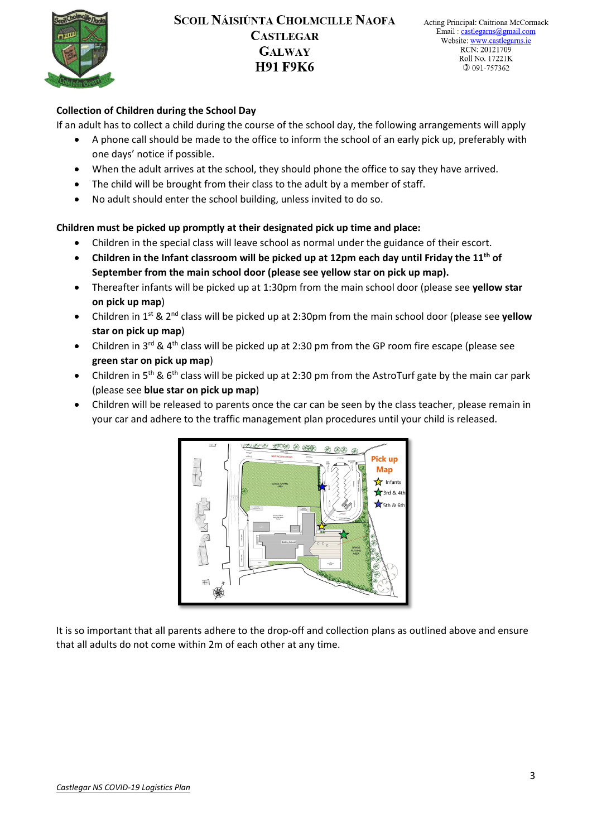

#### **Collection of Children during the School Day**

If an adult has to collect a child during the course of the school day, the following arrangements will apply

- A phone call should be made to the office to inform the school of an early pick up, preferably with one days' notice if possible.
- When the adult arrives at the school, they should phone the office to say they have arrived.
- The child will be brought from their class to the adult by a member of staff.
- No adult should enter the school building, unless invited to do so.

#### **Children must be picked up promptly at their designated pick up time and place:**

- Children in the special class will leave school as normal under the guidance of their escort.
- **Children in the Infant classroom will be picked up at 12pm each day until Friday the 11th of September from the main school door (please see yellow star on pick up map).**
- Thereafter infants will be picked up at 1:30pm from the main school door (please see **yellow star on pick up map**)
- Children in 1st & 2nd class will be picked up at 2:30pm from the main school door (please see **yellow star on pick up map**)
- Children in 3<sup>rd</sup> & 4<sup>th</sup> class will be picked up at 2:30 pm from the GP room fire escape (please see **green star on pick up map**)
- Children in 5<sup>th</sup> & 6<sup>th</sup> class will be picked up at 2:30 pm from the AstroTurf gate by the main car park (please see **blue star on pick up map**)
- Children will be released to parents once the car can be seen by the class teacher, please remain in your car and adhere to the traffic management plan procedures until your child is released.



It is so important that all parents adhere to the drop-off and collection plans as outlined above and ensure that all adults do not come within 2m of each other at any time.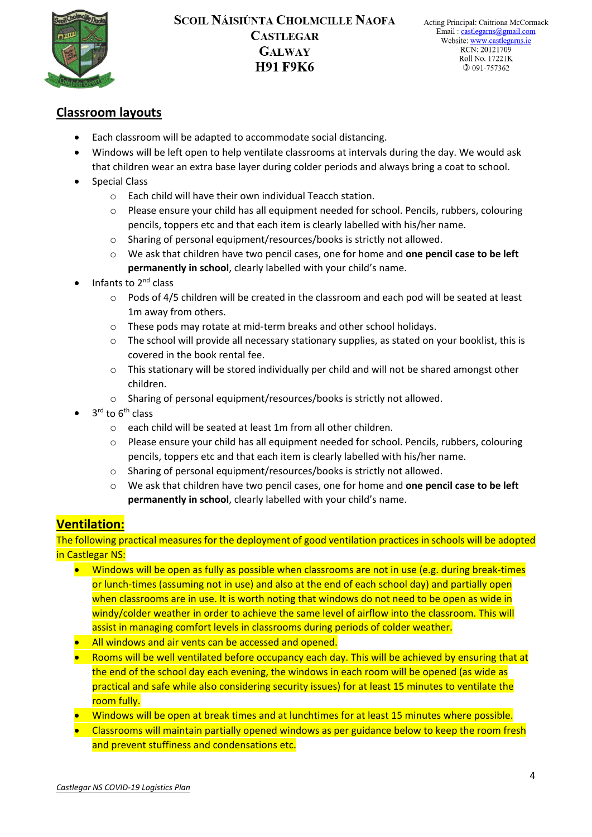

### **Classroom layouts**

- Each classroom will be adapted to accommodate social distancing.
- Windows will be left open to help ventilate classrooms at intervals during the day. We would ask that children wear an extra base layer during colder periods and always bring a coat to school.
- Special Class
	- o Each child will have their own individual Teacch station.
	- o Please ensure your child has all equipment needed for school. Pencils, rubbers, colouring pencils, toppers etc and that each item is clearly labelled with his/her name.
	- o Sharing of personal equipment/resources/books is strictly not allowed.
	- o We ask that children have two pencil cases, one for home and **one pencil case to be left permanently in school**, clearly labelled with your child's name.
- Infants to 2<sup>nd</sup> class
	- o Pods of 4/5 children will be created in the classroom and each pod will be seated at least 1m away from others.
	- o These pods may rotate at mid-term breaks and other school holidays.
	- o The school will provide all necessary stationary supplies, as stated on your booklist, this is covered in the book rental fee.
	- o This stationary will be stored individually per child and will not be shared amongst other children.
	- o Sharing of personal equipment/resources/books is strictly not allowed.
- $3<sup>rd</sup>$  to  $6<sup>th</sup>$  class
	- o each child will be seated at least 1m from all other children.
	- $\circ$  Please ensure your child has all equipment needed for school. Pencils, rubbers, colouring pencils, toppers etc and that each item is clearly labelled with his/her name.
	- o Sharing of personal equipment/resources/books is strictly not allowed.
	- We ask that children have two pencil cases, one for home and **one pencil case to be left permanently in school**, clearly labelled with your child's name.

### **Ventilation:**

The following practical measures for the deployment of good ventilation practices in schools will be adopted in Castlegar NS:

- Windows will be open as fully as possible when classrooms are not in use (e.g. during break-times or lunch-times (assuming not in use) and also at the end of each school day) and partially open when classrooms are in use. It is worth noting that windows do not need to be open as wide in windy/colder weather in order to achieve the same level of airflow into the classroom. This will assist in managing comfort levels in classrooms during periods of colder weather.
- All windows and air vents can be accessed and opened.
- Rooms will be well ventilated before occupancy each day. This will be achieved by ensuring that at the end of the school day each evening, the windows in each room will be opened (as wide as practical and safe while also considering security issues) for at least 15 minutes to ventilate the room fully.
- Windows will be open at break times and at lunchtimes for at least 15 minutes where possible.
- Classrooms will maintain partially opened windows as per guidance below to keep the room fresh and prevent stuffiness and condensations etc.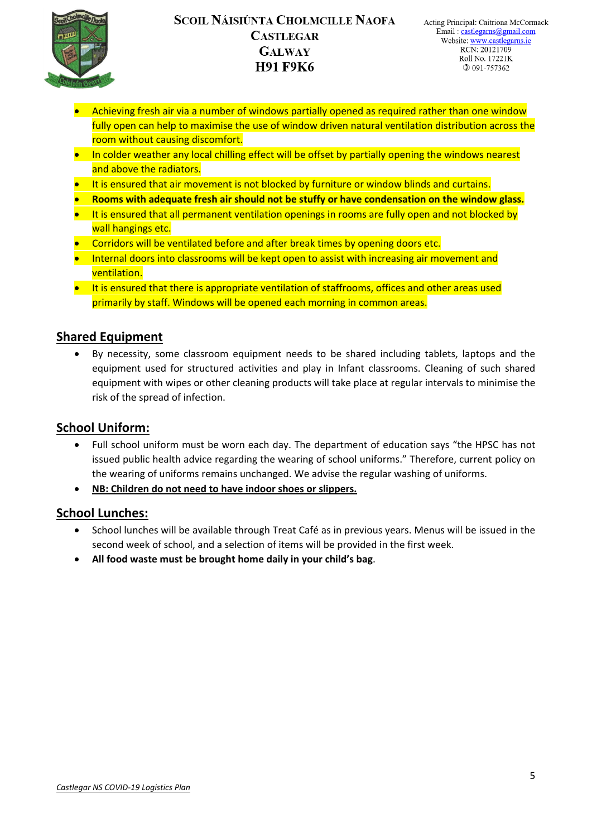

- Achieving fresh air via a number of windows partially opened as required rather than one window fully open can help to maximise the use of window driven natural ventilation distribution across the room without causing discomfort.
- In colder weather any local chilling effect will be offset by partially opening the windows nearest and above the radiators.
- It is ensured that air movement is not blocked by furniture or window blinds and curtains.
- **Rooms with adequate fresh air should not be stuffy or have condensation on the window glass.**
- It is ensured that all permanent ventilation openings in rooms are fully open and not blocked by wall hangings etc.
- Corridors will be ventilated before and after break times by opening doors etc.
- Internal doors into classrooms will be kept open to assist with increasing air movement and ventilation.
- It is ensured that there is appropriate ventilation of staffrooms, offices and other areas used primarily by staff. Windows will be opened each morning in common areas.

### **Shared Equipment**

• By necessity, some classroom equipment needs to be shared including tablets, laptops and the equipment used for structured activities and play in Infant classrooms. Cleaning of such shared equipment with wipes or other cleaning products will take place at regular intervals to minimise the risk of the spread of infection.

### **School Uniform:**

- Full school uniform must be worn each day. The department of education says "the HPSC has not issued public health advice regarding the wearing of school uniforms." Therefore, current policy on the wearing of uniforms remains unchanged. We advise the regular washing of uniforms.
- **NB: Children do not need to have indoor shoes or slippers.**

#### **School Lunches:**

- School lunches will be available through Treat Café as in previous years. Menus will be issued in the second week of school, and a selection of items will be provided in the first week.
- **All food waste must be brought home daily in your child's bag**.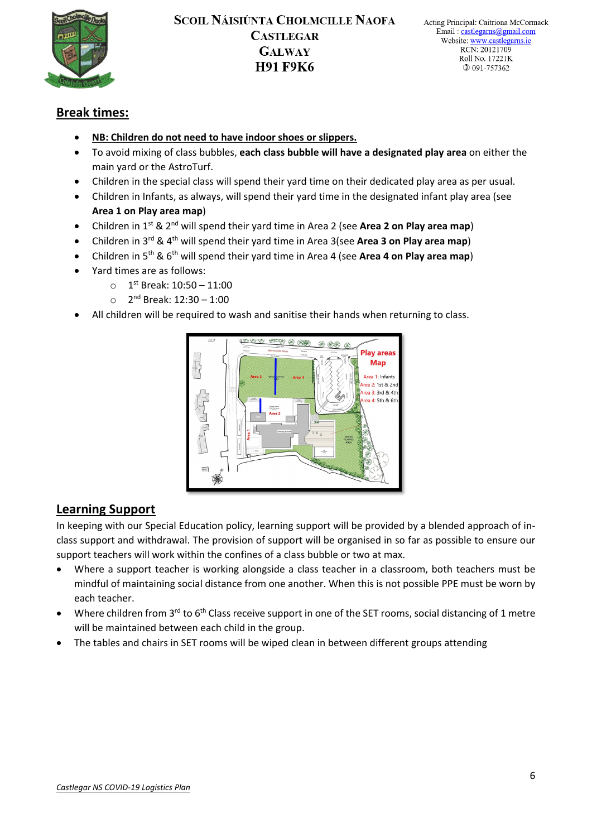

### **Break times:**

- **NB: Children do not need to have indoor shoes or slippers.**
- To avoid mixing of class bubbles, **each class bubble will have a designated play area** on either the main yard or the AstroTurf.
- Children in the special class will spend their yard time on their dedicated play area as per usual.
- Children in Infants, as always, will spend their yard time in the designated infant play area (see **Area 1 on Play area map**)
- Children in 1st & 2nd will spend their yard time in Area 2 (see **Area 2 on Play area map**)
- Children in 3rd & 4th will spend their yard time in Area 3(see **Area 3 on Play area map**)
- Children in 5th & 6th will spend their yard time in Area 4 (see **Area 4 on Play area map**)
- Yard times are as follows:
	- $O$  1<sup>st</sup> Break: 10:50 11:00
	- $\circ$  2<sup>nd</sup> Break: 12:30 1:00
- All children will be required to wash and sanitise their hands when returning to class.



### **Learning Support**

In keeping with our Special Education policy, learning support will be provided by a blended approach of inclass support and withdrawal. The provision of support will be organised in so far as possible to ensure our support teachers will work within the confines of a class bubble or two at max.

- Where a support teacher is working alongside a class teacher in a classroom, both teachers must be mindful of maintaining social distance from one another. When this is not possible PPE must be worn by each teacher.
- Where children from 3<sup>rd</sup> to 6<sup>th</sup> Class receive support in one of the SET rooms, social distancing of 1 metre will be maintained between each child in the group.
- The tables and chairs in SET rooms will be wiped clean in between different groups attending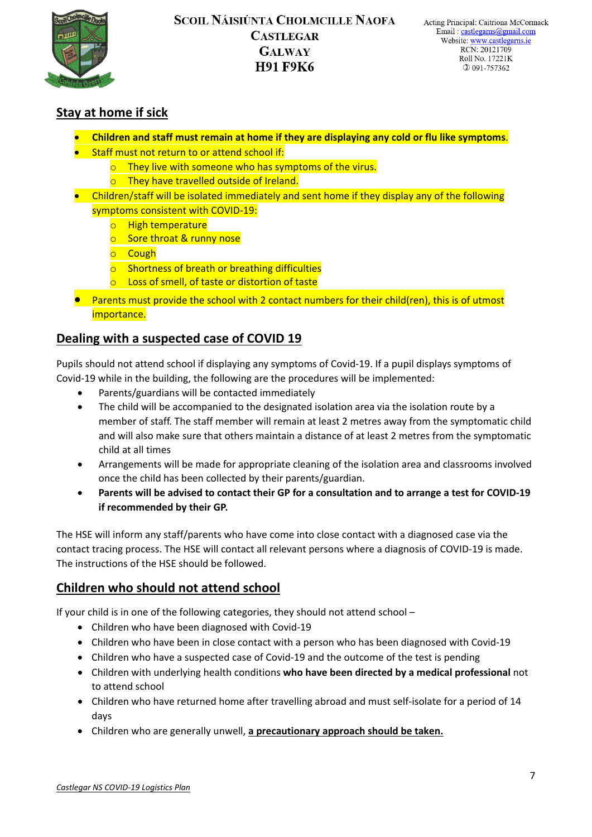

# **Stay at home if sick**

- **Children and staff must remain at home if they are displaying any cold or flu like symptoms**.
- Staff must not return to or attend school if:
	- $\circ$  They live with someone who has symptoms of the virus.
	- o They have travelled outside of Ireland.
- Children/staff will be isolated immediately and sent home if they display any of the following symptoms consistent with COVID-19:
	- o High temperature
	- o Sore throat & runny nose
	- o Cough
	- o Shortness of breath or breathing difficulties
	- Loss of smell, of taste or distortion of taste
- Parents must provide the school with 2 contact numbers for their child(ren), this is of utmost importance.

## **Dealing with a suspected case of COVID 19**

Pupils should not attend school if displaying any symptoms of Covid-19. If a pupil displays symptoms of Covid-19 while in the building, the following are the procedures will be implemented:

- Parents/guardians will be contacted immediately
- The child will be accompanied to the designated isolation area via the isolation route by a member of staff. The staff member will remain at least 2 metres away from the symptomatic child and will also make sure that others maintain a distance of at least 2 metres from the symptomatic child at all times
- Arrangements will be made for appropriate cleaning of the isolation area and classrooms involved once the child has been collected by their parents/guardian.
- **Parents will be advised to contact their GP for a consultation and to arrange a test for COVID-19 if recommended by their GP.**

The HSE will inform any staff/parents who have come into close contact with a diagnosed case via the contact tracing process. The HSE will contact all relevant persons where a diagnosis of COVID-19 is made. The instructions of the HSE should be followed.

# **Children who should not attend school**

If your child is in one of the following categories, they should not attend school –

- Children who have been diagnosed with Covid-19
- Children who have been in close contact with a person who has been diagnosed with Covid-19
- Children who have a suspected case of Covid-19 and the outcome of the test is pending
- Children with underlying health conditions **who have been directed by a medical professional** not to attend school
- Children who have returned home after travelling abroad and must self-isolate for a period of 14 days
- Children who are generally unwell, **a precautionary approach should be taken.**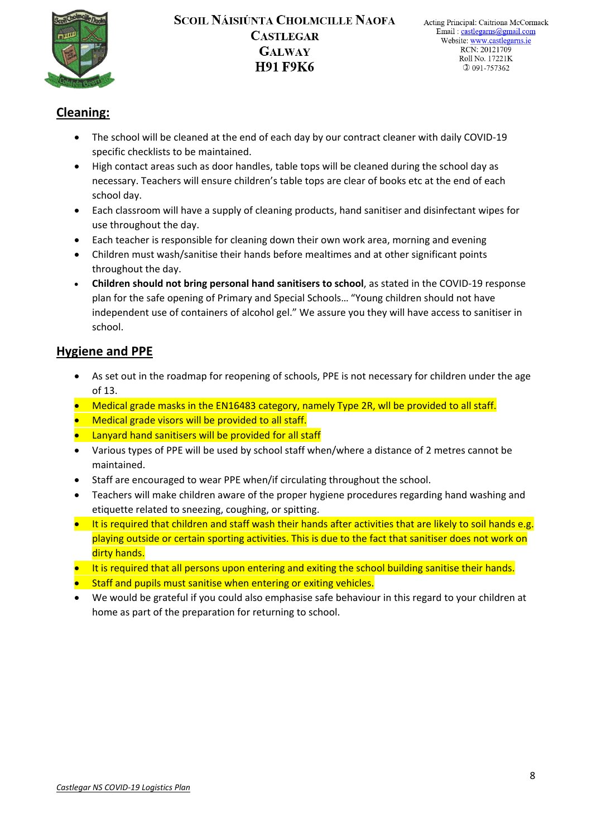

# **Cleaning:**

- The school will be cleaned at the end of each day by our contract cleaner with daily COVID-19 specific checklists to be maintained.
- High contact areas such as door handles, table tops will be cleaned during the school day as necessary. Teachers will ensure children's table tops are clear of books etc at the end of each school day.
- Each classroom will have a supply of cleaning products, hand sanitiser and disinfectant wipes for use throughout the day.
- Each teacher is responsible for cleaning down their own work area, morning and evening
- Children must wash/sanitise their hands before mealtimes and at other significant points throughout the day.
- **Children should not bring personal hand sanitisers to school**, as stated in the COVID-19 response plan for the safe opening of Primary and Special Schools… "Young children should not have independent use of containers of alcohol gel." We assure you they will have access to sanitiser in school.

# **Hygiene and PPE**

- As set out in the roadmap for reopening of schools, PPE is not necessary for children under the age of 13.
- Medical grade masks in the EN16483 category, namely Type 2R, will be provided to all staff.
- Medical grade visors will be provided to all staff.
- Lanyard hand sanitisers will be provided for all staff
- Various types of PPE will be used by school staff when/where a distance of 2 metres cannot be maintained.
- Staff are encouraged to wear PPE when/if circulating throughout the school.
- Teachers will make children aware of the proper hygiene procedures regarding hand washing and etiquette related to sneezing, coughing, or spitting.
- It is required that children and staff wash their hands after activities that are likely to soil hands e.g. playing outside or certain sporting activities. This is due to the fact that sanitiser does not work on dirty hands.
- It is required that all persons upon entering and exiting the school building sanitise their hands.
- Staff and pupils must sanitise when entering or exiting vehicles.
- We would be grateful if you could also emphasise safe behaviour in this regard to your children at home as part of the preparation for returning to school.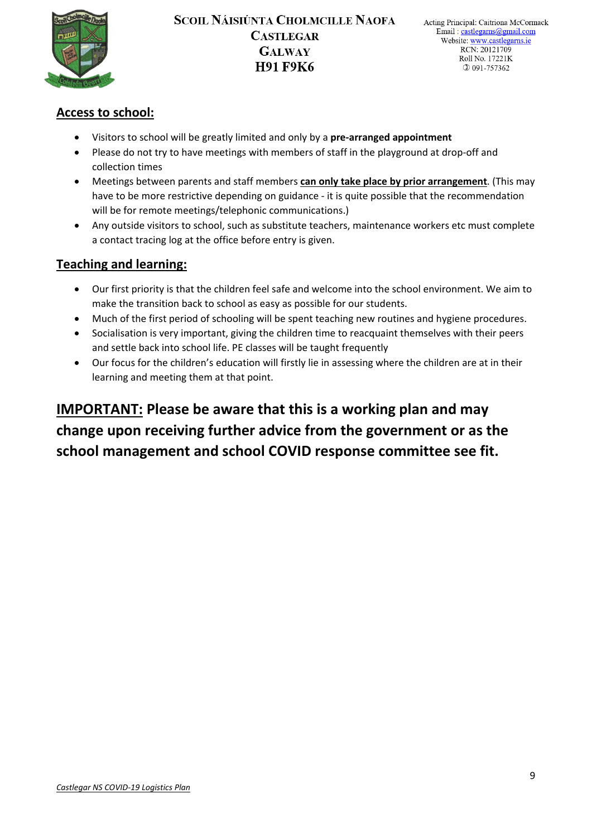

# **Access to school:**

- Visitors to school will be greatly limited and only by a **pre-arranged appointment**
- Please do not try to have meetings with members of staff in the playground at drop-off and collection times
- Meetings between parents and staff members **can only take place by prior arrangement**. (This may have to be more restrictive depending on guidance - it is quite possible that the recommendation will be for remote meetings/telephonic communications.)
- Any outside visitors to school, such as substitute teachers, maintenance workers etc must complete a contact tracing log at the office before entry is given.

# **Teaching and learning:**

- Our first priority is that the children feel safe and welcome into the school environment. We aim to make the transition back to school as easy as possible for our students.
- Much of the first period of schooling will be spent teaching new routines and hygiene procedures.
- Socialisation is very important, giving the children time to reacquaint themselves with their peers and settle back into school life. PE classes will be taught frequently
- Our focus for the children's education will firstly lie in assessing where the children are at in their learning and meeting them at that point.

**IMPORTANT: Please be aware that this is a working plan and may change upon receiving further advice from the government or as the school management and school COVID response committee see fit.**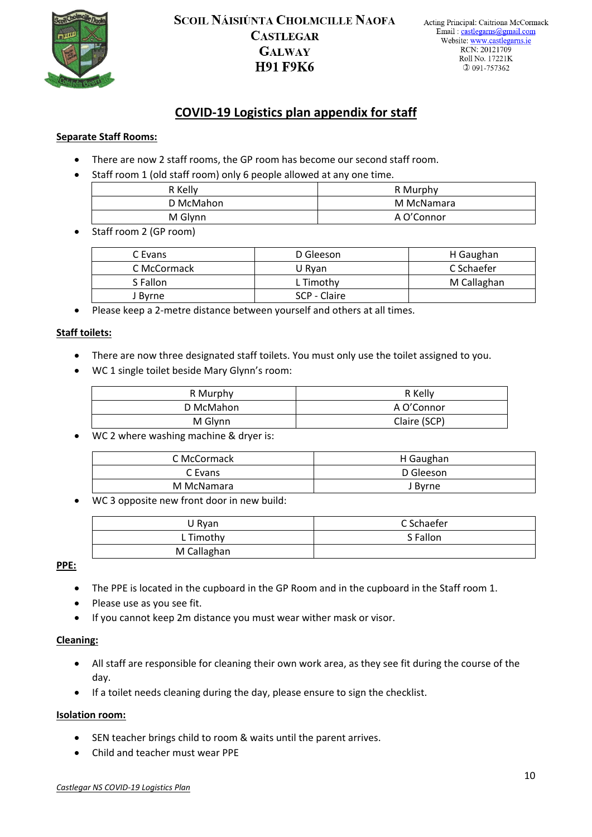

# **COVID-19 Logistics plan appendix for staff**

#### **Separate Staff Rooms:**

- There are now 2 staff rooms, the GP room has become our second staff room.
- Staff room 1 (old staff room) only 6 people allowed at any one time.

| R Kelly   | R Murphy   |
|-----------|------------|
| D McMahon | M McNamara |
| M Glynn   | A O'Connor |

• Staff room 2 (GP room)

| C Evans     | D Gleeson    | H Gaughan   |
|-------------|--------------|-------------|
| C McCormack | U Rvan       | C Schaefer  |
| S Fallon    | L Timothy    | M Callaghan |
| l Bvrne     | SCP - Claire |             |

• Please keep a 2-metre distance between yourself and others at all times.

#### **Staff toilets:**

- There are now three designated staff toilets. You must only use the toilet assigned to you.
- WC 1 single toilet beside Mary Glynn's room:

| R Murphy  | R Kelly      |
|-----------|--------------|
| D McMahon | A O'Connor   |
| M Glynn   | Claire (SCP) |

• WC 2 where washing machine & dryer is:

| C McCormack | H Gaughan |  |
|-------------|-----------|--|
| C Evans     | D Gleeson |  |
| M McNamara  | J Byrne   |  |

• WC 3 opposite new front door in new build:

| U Ryan      | C Schaefer |
|-------------|------------|
| L Timothy   | S Fallon   |
| M Callaghan |            |

#### **PPE:**

- The PPE is located in the cupboard in the GP Room and in the cupboard in the Staff room 1.
- Please use as you see fit.
- If you cannot keep 2m distance you must wear wither mask or visor.

#### **Cleaning:**

- All staff are responsible for cleaning their own work area, as they see fit during the course of the day.
- If a toilet needs cleaning during the day, please ensure to sign the checklist.

#### **Isolation room:**

- SEN teacher brings child to room & waits until the parent arrives.
- Child and teacher must wear PPE